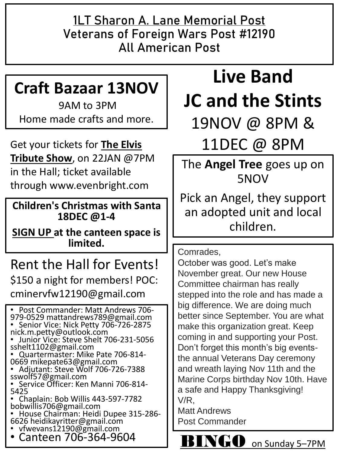**1LT Sharon A. Lane Memorial Post Veterans of Foreign Wars Post #12190 All American Post**

## **Craft Bazaar 13NOV**

9AM to 3PM Home made crafts and more.

Get your tickets for **The Elvis Tribute Show**, on 22JAN @7PM in the Hall; ticket available through www.evenbright.com

**Children's Christmas with Santa 18DEC @1-4** 

**SIGN UP at the canteen space is limited.** 

#### Rent the Hall for Events! \$150 a night for members! POC: cminervfw12190@gmail.com

• Post Commander: Matt Andrews 706- 979-0529 mattandrews789@gmail.com • Senior Vice: Nick Petty 706-726-2875 nick.m.petty@outlook.com • Junior Vice: Steve Shelt 706-231-5056 sshelt1102@gmail.com

• Quartermaster: Mike Pate 706-814- 0669 mikepate63@gmail.com

• Adjutant: Steve Wolf 706-726-7388 sswolf57@gmail.com

• Service Officer: Ken Manni 706-814- 5425

• Chaplain: Bob Willis 443-597-7782 bobwillis706@gmail.com

• House Chairman: Heidi Dupee 315-286- 6626 heidikayritter@gmail.com

• vfwevans12190@gmail.com

• Canteen 706-364-9604

# **Live Band JC and the Stints**

19NOV @ 8PM &

11DEC @ 8PM

The **Angel Tree** goes up on 5NOV

Pick an Angel, they support an adopted unit and local children.

Comrades,

October was good. Let's make November great. Our new House Committee chairman has really stepped into the role and has made a big difference. We are doing much better since September. You are what make this organization great. Keep coming in and supporting your Post. Don't forget this month's big eventsthe annual Veterans Day ceremony and wreath laying Nov 11th and the Marine Corps birthday Nov 10th. Have a safe and Happy Thanksgiving! V/R, Matt Andrews

Post Commander

INGO on Sunday 5–7PM